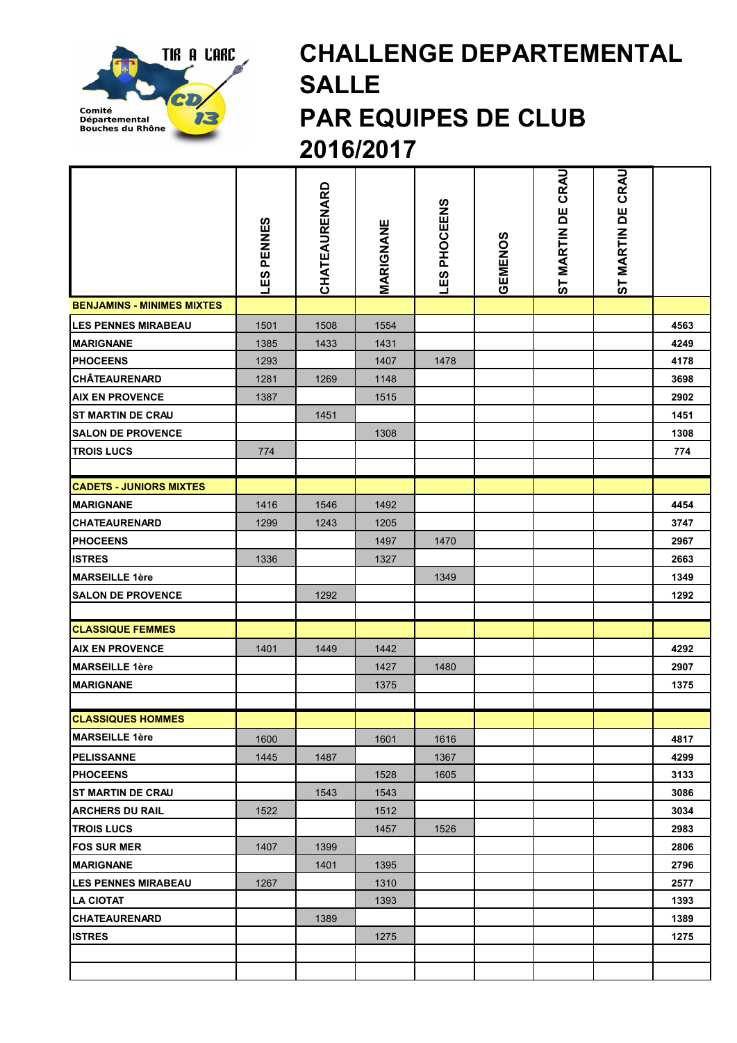

## CHALLENGE DEPARTEMENTAL SALLE PAR EQUIPES DE CLUB 2016/2017

|                                   | <b>LES PENNES</b> | CHATEAURENARD | MARIGNANE | LES PHOCEENS | GEMENOS | CRAU<br>ST MARTIN DE | ST MARTIN DE CRAU |      |
|-----------------------------------|-------------------|---------------|-----------|--------------|---------|----------------------|-------------------|------|
| <b>BENJAMINS - MINIMES MIXTES</b> |                   |               |           |              |         |                      |                   |      |
| <b>LES PENNES MIRABEAU</b>        | 1501              | 1508          | 1554      |              |         |                      |                   | 4563 |
| <b>MARIGNANE</b>                  | 1385              | 1433          | 1431      |              |         |                      |                   | 4249 |
| <b>PHOCEENS</b>                   | 1293              |               | 1407      | 1478         |         |                      |                   | 4178 |
| <b>CHÂTEAURENARD</b>              | 1281              | 1269          | 1148      |              |         |                      |                   | 3698 |
| <b>AIX EN PROVENCE</b>            | 1387              |               | 1515      |              |         |                      |                   | 2902 |
| <b>ST MARTIN DE CRAU</b>          |                   | 1451          |           |              |         |                      |                   | 1451 |
| <b>SALON DE PROVENCE</b>          |                   |               | 1308      |              |         |                      |                   | 1308 |
| <b>TROIS LUCS</b>                 | 774               |               |           |              |         |                      |                   | 774  |
|                                   |                   |               |           |              |         |                      |                   |      |
| <b>CADETS - JUNIORS MIXTES</b>    |                   |               |           |              |         |                      |                   |      |
| <b>MARIGNANE</b>                  | 1416              | 1546          | 1492      |              |         |                      |                   | 4454 |
| <b>CHATEAURENARD</b>              | 1299              | 1243          | 1205      |              |         |                      |                   | 3747 |
| <b>PHOCEENS</b>                   |                   |               | 1497      | 1470         |         |                      |                   | 2967 |
| <b>ISTRES</b>                     | 1336              |               | 1327      |              |         |                      |                   | 2663 |
| <b>MARSEILLE 1ère</b>             |                   |               |           | 1349         |         |                      |                   | 1349 |
| <b>SALON DE PROVENCE</b>          |                   | 1292          |           |              |         |                      |                   | 1292 |
|                                   |                   |               |           |              |         |                      |                   |      |
| <b>CLASSIQUE FEMMES</b>           |                   |               |           |              |         |                      |                   |      |
| <b>AIX EN PROVENCE</b>            | 1401              | 1449          | 1442      |              |         |                      |                   | 4292 |
| <b>MARSEILLE 1ère</b>             |                   |               | 1427      | 1480         |         |                      |                   | 2907 |
| <b>MARIGNANE</b>                  |                   |               | 1375      |              |         |                      |                   | 1375 |
|                                   |                   |               |           |              |         |                      |                   |      |
| <b>CLASSIQUES HOMMES</b>          |                   |               |           |              |         |                      |                   |      |
| <b>MARSEILLE 1ère</b>             | 1600              |               | 1601      | 1616         |         |                      |                   | 4817 |
| <b>PELISSANNE</b>                 | 1445              | 1487          |           | 1367         |         |                      |                   | 4299 |
| <b>PHOCEENS</b>                   |                   |               | 1528      | 1605         |         |                      |                   | 3133 |
| <b>IST MARTIN DE CRAU</b>         |                   | 1543          | 1543      |              |         |                      |                   | 3086 |
| <b>ARCHERS DU RAIL</b>            | 1522              |               | 1512      |              |         |                      |                   | 3034 |
| <b>TROIS LUCS</b>                 |                   |               | 1457      | 1526         |         |                      |                   | 2983 |
| <b>FOS SUR MER</b>                | 1407              | 1399          |           |              |         |                      |                   | 2806 |
| <b>MARIGNANE</b>                  |                   | 1401          | 1395      |              |         |                      |                   | 2796 |
| <b>LES PENNES MIRABEAU</b>        | 1267              |               | 1310      |              |         |                      |                   | 2577 |
| <b>LA CIOTAT</b>                  |                   |               | 1393      |              |         |                      |                   | 1393 |
| <b>CHATEAURENARD</b>              |                   | 1389          |           |              |         |                      |                   | 1389 |
| <b>ISTRES</b>                     |                   |               | 1275      |              |         |                      |                   | 1275 |
|                                   |                   |               |           |              |         |                      |                   |      |
|                                   |                   |               |           |              |         |                      |                   |      |